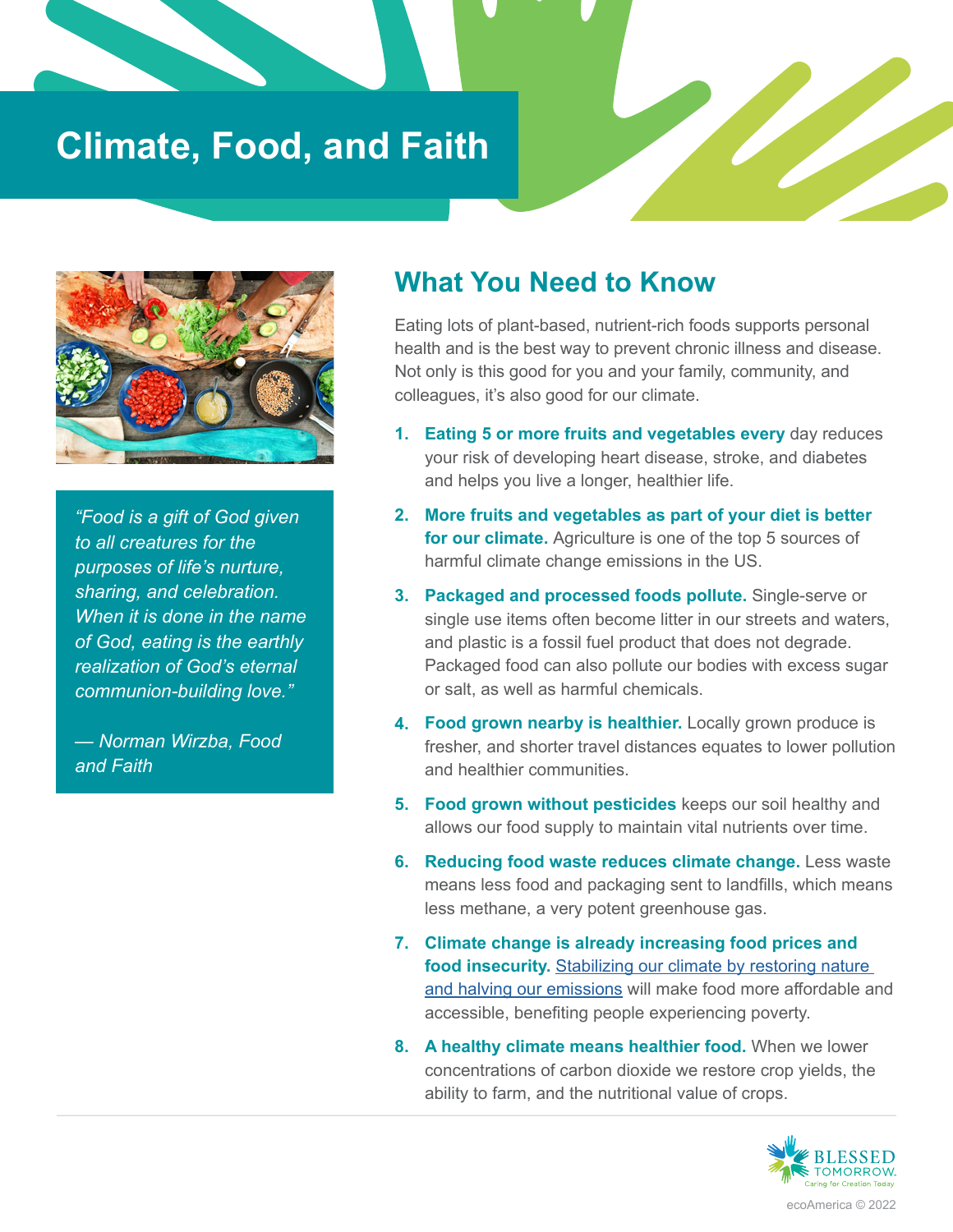## **Climate, Food, and Faith**



*"Food is a gift of God given to all creatures for the purposes of life's nurture, sharing, and celebration. When it is done in the name of God, eating is the earthly realization of God's eternal communion-building love."*

*— Norman Wirzba, Food and Faith*

## **What You Need to Know**

Eating lots of plant-based, nutrient-rich foods supports personal health and is the best way to prevent chronic illness and disease. Not only is this good for you and your family, community, and colleagues, it's also good for our climate.

- **Eating 5 or more fruits and vegetables every** day reduces **1.**  your risk of developing heart disease, stroke, and diabetes and helps you live a longer, healthier life.
- **More fruits and vegetables as part of your diet is better 2.**  for our climate. Agriculture is one of the top 5 sources of harmful climate change emissions in the US.
- **Packaged and processed foods pollute.** Single-serve or **3.** single use items often become litter in our streets and waters, and plastic is a fossil fuel product that does not degrade. Packaged food can also pollute our bodies with excess sugar or salt, as well as harmful chemicals.
- **Food grown nearby is healthier.** Locally grown produce is **4.** fresher, and shorter travel distances equates to lower pollution and healthier communities.
- **Food grown without pesticides** keeps our soil healthy and **5.** allows our food supply to maintain vital nutrients over time.
- **Reducing food waste reduces climate change.** Less waste **6.** means less food and packaging sent to landfills, which means less methane, a very potent greenhouse gas.
- **Climate change is already increasing food prices and 7. food insecurity.** Stabilizing our climate by restoring nature and halving our emissions will make food more affordable and accessible, benefiting people experiencing poverty.
- **A healthy climate means healthier food.** When we lower **8.** concentrations of carbon dioxide we restore crop yields, the ability to farm, and the nutritional value of crops.